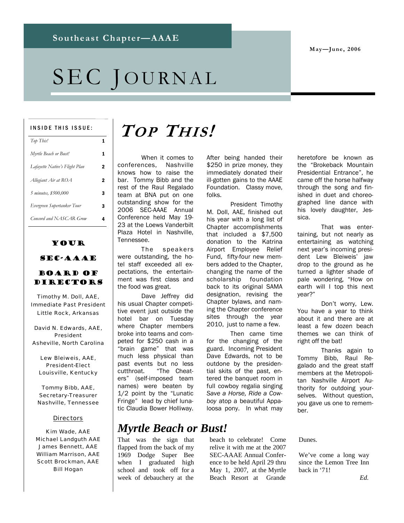**May—June, 2006** 

# SEC JOURNAL

#### INSIDE THIS ISSUE:

| Top This!                      |   |
|--------------------------------|---|
| Myrtle Beach or Bust!          | 1 |
| Lafayette Native's Flight Plan | 2 |
| Allegiant Air at ROA           | 2 |
| 5 minutes, \$500,000           | 3 |
| Evergreen Supertanker Tour     | 3 |
| Concord and NASCAR Grow        | 4 |

### Your

### SEC-AAAE

### Board of **DIRECTORS**

Timothy M. Doll, AAE, Immediate Past President Little Rock, Arkansas

David N. Edwards, AAE, President Asheville, North Carolina

Lew Bleiweis, AAE, President-Elect Louisville, Kentucky

Tommy Bibb, AAE, Secretary-Treasurer Nashville, Tennessee

#### **Directors**

Kim Wade, AAE Michael Landguth AAE James Bennett, AAE William Marrison, AAE Scott Brockman, AAE Bill Hogan

# **TOP THIS!**

 When it comes to conferences, Nashville knows how to raise the bar. Tommy Bibb and the rest of the Raul Regalado team at BNA put on one outstanding show for the 2006 SEC-AAAE Annual Conference held May 19- 23 at the Loews Vanderbilt Plaza Hotel in Nashville, Tennessee.

 The speakers were outstanding, the hotel staff exceeded all expectations, the entertainment was first class and the food was great.

 Dave Jeffrey did his usual Chapter competitive event just outside the hotel bar on Tuesday where Chapter members broke into teams and competed for \$250 cash in a "brain game" that was much less physical than past events but no less cutthroat. "The Cheaters" (self-imposed team names) were beaten by 1/2 point by the "Lunatic Fringe" lead by chief lunatic Claudia Bower Holliway.

*Myrtle Beach or Bust!* 

That was the sign that flapped from the back of my 1969 Dodge Super Bee when I graduated high school and took off for a week of debauchery at the

beach to celebrate! Come relive it with me at the 2007 SEC-AAAE Annual Conference to be held April 29 thru May 1, 2007, at the Myrtle Beach Resort at Grande

After being handed their \$250 in prize money, they immediately donated their ill-gotten gains to the AAAE Foundation. Classy move,

M. Doll, AAE, finished out his year with a long list of Chapter accomplishments that included a \$7,500 donation to the Katrina Airport Employee Relief Fund, fifty-four new members added to the Chapter, changing the name of the scholarship foundation back to its original SAMA designation, revising the Chapter bylaws, and naming the Chapter conference sites through the year 2010, just to name a few.

President Timothy

Then came time

for the changing of the guard. Incoming President Dave Edwards, not to be outdone by the presidential skits of the past, entered the banquet room in full cowboy regalia singing *Save a Horse, Ride a Cowboy* atop a beautiful Appaloosa pony. In what may

folks.

heretofore be known as the "Brokeback Mountain Presidential Entrance", he came off the horse halfway through the song and finished in duet and choreographed line dance with his lovely daughter, Jessica.

 That was entertaining, but not nearly as entertaining as watching next year's incoming president Lew Bleiweis' jaw drop to the ground as he turned a lighter shade of pale wondering, "How on earth will I top this next year?"

 Don't worry, Lew. You have a year to think about it and there are at least a few dozen beach themes we can think of right off the bat!

 Thanks again to Tommy Bibb, Raul Regalado and the great staff members at the Metropolitan Nashville Airport Authority for outdoing yourselves. Without question, you gave us one to remember.

Dunes.

We've come a long way since the Lemon Tree Inn back in '71!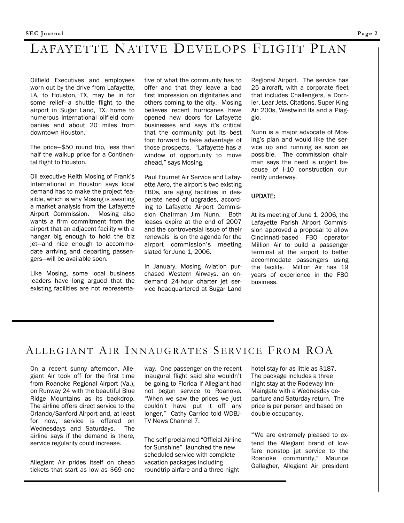## LAFAYETTE NATIVE DEVELOPS FLIGHT PLAN

Oilfield Executives and employees worn out by the drive from Lafayette, LA, to Houston, TX, may be in for some relief—a shuttle flight to the airport in Sugar Land, TX, home to numerous international oilfield companies and about 20 miles from downtown Houston.

The price—\$50 round trip, less than half the walkup price for a Continental flight to Houston.

Oil executive Keith Mosing of Frank's International in Houston says local demand has to make the project feasible, which is why Mosing is awaiting a market analysis from the Lafayette Airport Commission. Mosing also wants a firm commitment from the airport that an adjacent facility with a hangar big enough to hold the biz jet—and nice enough to accommodate arriving and departing passengers—will be available soon.

Like Mosing, some local business leaders have long argued that the existing facilities are not representative of what the community has to offer and that they leave a bad first impression on dignitaries and others coming to the city. Mosing believes recent hurricanes have opened new doors for Lafayette businesses and says it's critical that the community put its best foot forward to take advantage of those prospects. "Lafayette has a window of opportunity to move ahead," says Mosing.

Paul Fournet Air Service and Lafayette Aero, the airport's two existing FBOs, are aging facilities in desperate need of upgrades, according to Lafayette Airport Commission Chairman Jim Nunn. Both leases expire at the end of 2007 and the controversial issue of their renewals is on the agenda for the airport commission's meeting slated for June 1, 2006.

In January, Mosing Aviation purchased Western Airways, an ondemand 24-hour charter jet service headquartered at Sugar Land

Regional Airport. The service has 25 aircraft, with a corporate fleet that includes Challengers, a Dornier, Lear Jets, Citations, Super King Air 200s, Westwind IIs and a Piaggio.

Nunn is a major advocate of Mosing's plan and would like the service up and running as soon as possible. The commission chairman says the need is urgent because of I-10 construction currently underway.

#### UPDATE:

At its meeting of June 1, 2006, the Lafayette Parish Airport Commission approved a proposal to allow Cincinnati-based FBO operator Million Air to build a passenger terminal at the airport to better accommodate passengers using the facility. Million Air has 19 years of experience in the FBO business.

### ALLEGIANT AIR INNAUGRATES SERVICE FROM ROA

On a recent sunny afternoon, Allegiant Air took off for the first time from Roanoke Regional Airport (Va.), on Runway 24 with the beautiful Blue Ridge Mountains as its backdrop. The airline offers direct service to the Orlando/Sanford Airport and, at least for now, service is offered on Wednesdays and Saturdays. The airline says if the demand is there, service regularity could increase.

Allegiant Air prides itself on cheap tickets that start as low as \$69 one way. One passenger on the recent inaugural flight said she wouldn't be going to Florida if Allegiant had not begun service to Roanoke. "When we saw the prices we just couldn't have put it off any longer," Cathy Carrico told WDBJ-TV News Channel 7.

The self-proclaimed "Official Airline for Sunshine" launched the new scheduled service with complete vacation packages including roundtrip airfare and a three-night

hotel stay for as little as \$187. The package includes a three night stay at the Rodeway Inn-Maingate with a Wednesday departure and Saturday return. The price is per person and based on double occupancy.

"We are extremely pleased to extend the Allegiant brand of lowfare nonstop jet service to the Roanoke community," Maurice Gallagher, Allegiant Air president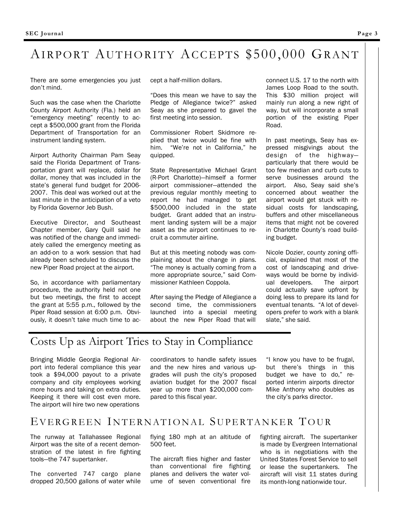## AIRPORT AUTHORITY ACCEPTS \$500,000 GRANT

There are some emergencies you just don't mind.

Such was the case when the Charlotte County Airport Authority (Fla.) held an "emergency meeting" recently to accept a \$500,000 grant from the Florida Department of Transportation for an instrument landing system.

Airport Authority Chairman Pam Seay said the Florida Department of Transportation grant will replace, dollar for dollar, money that was included in the state's general fund budget for 2006- 2007. This deal was worked out at the last minute in the anticipation of a veto by Florida Governor Jeb Bush.

Executive Director, and Southeast Chapter member, Gary Quill said he was notified of the change and immediately called the emergency meeting as an add-on to a work session that had already been scheduled to discuss the new Piper Road project at the airport.

So, in accordance with parliamentary procedure, the authority held not one but two meetings, the first to accept the grant at 5:55 p.m., followed by the Piper Road session at 6:00 p.m. Obviously, it doesn't take much time to accept a half-million dollars.

"Does this mean we have to say the Pledge of Allegiance twice?" asked Seay as she prepared to gavel the first meeting into session.

Commissioner Robert Skidmore replied that twice would be fine with him. "We're not in California," he quipped.

State Representative Michael Grant (R-Port Charlotte)—himself a former airport commissioner—attended the previous regular monthly meeting to report he had managed to get \$500,000 included in the state budget. Grant added that an instrument landing system will be a major asset as the airport continues to recruit a commuter airline.

But at this meeting nobody was complaining about the change in plans. "The money is actually coming from a more appropriate source," said Commissioner Kathleen Coppola.

After saying the Pledge of Allegiance a second time, the commissioners launched into a special meeting about the new Piper Road that will

connect U.S. 17 to the north with James Loop Road to the south. This \$30 million project will mainly run along a new right of way, but will incorporate a small portion of the existing Piper Road.

In past meetings, Seay has expressed misgivings about the design of the highway particularly that there would be too few median and curb cuts to serve businesses around the airport. Also, Seay said she's concerned about weather the airport would get stuck with residual costs for landscaping, buffers and other miscellaneous items that might not be covered in Charlotte County's road building budget.

Nicole Dozier, county zoning official, explained that most of the cost of landscaping and driveways would be borne by individual developers. The airport could actually save upfront by doing less to prepare its land for eventual tenants. "A lot of developers prefer to work with a blank slate," she said.

### Costs Up as Airport Tries to Stay in Compliance

Bringing Middle Georgia Regional Airport into federal compliance this year took a \$94,000 payout to a private company and city employees working more hours and taking on extra duties. Keeping it there will cost even more. The airport will hire two new operations

coordinators to handle safety issues and the new hires and various upgrades will push the city's proposed aviation budget for the 2007 fiscal year up more than \$200,000 compared to this fiscal year.

"I know you have to be frugal, but there's things in this budget we have to do," reported interim airports director Mike Anthony who doubles as the city's parks director.

### EVERGREEN INTERNATIONAL SUPERTANKER TOUR

The runway at Tallahassee Regional Airport was the site of a recent demonstration of the latest in fire fighting tools—the 747 supertanker.

The converted 747 cargo plane dropped 20,500 gallons of water while flying 180 mph at an altitude of 500 feet.

The aircraft flies higher and faster than conventional fire fighting planes and delivers the water volume of seven conventional fire fighting aircraft. The supertanker is made by Evergreen International who is in negotiations with the United States Forest Service to sell or lease the supertankers. The aircraft will visit 11 states during its month-long nationwide tour.